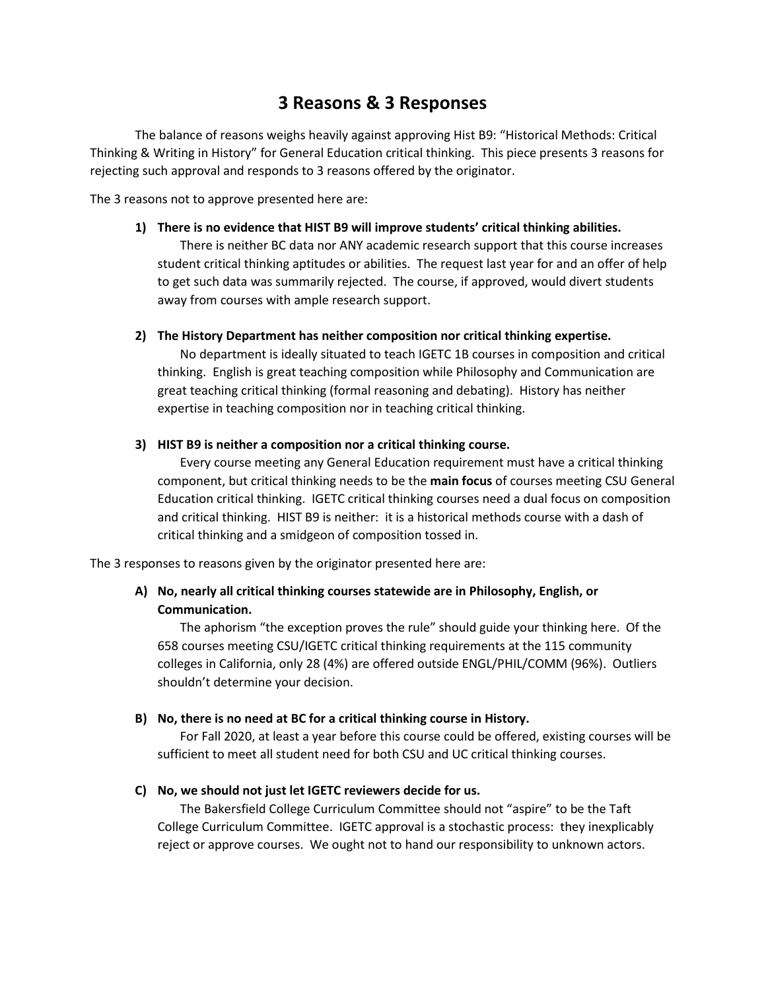# **3 Reasons & 3 Responses**

The balance of reasons weighs heavily against approving Hist B9: "Historical Methods: Critical Thinking & Writing in History" for General Education critical thinking. This piece presents 3 reasons for rejecting such approval and responds to 3 reasons offered by the originator.

The 3 reasons not to approve presented here are:

## **1) There is no evidence that HIST B9 will improve students' critical thinking abilities.**

There is neither BC data nor ANY academic research support that this course increases student critical thinking aptitudes or abilities. The request last year for and an offer of help to get such data was summarily rejected. The course, if approved, would divert students away from courses with ample research support.

## **2) The History Department has neither composition nor critical thinking expertise.**

No department is ideally situated to teach IGETC 1B courses in composition and critical thinking. English is great teaching composition while Philosophy and Communication are great teaching critical thinking (formal reasoning and debating). History has neither expertise in teaching composition nor in teaching critical thinking.

## **3) HIST B9 is neither a composition nor a critical thinking course.**

Every course meeting any General Education requirement must have a critical thinking component, but critical thinking needs to be the **main focus** of courses meeting CSU General Education critical thinking. IGETC critical thinking courses need a dual focus on composition and critical thinking. HIST B9 is neither: it is a historical methods course with a dash of critical thinking and a smidgeon of composition tossed in.

The 3 responses to reasons given by the originator presented here are:

## **A) No, nearly all critical thinking courses statewide are in Philosophy, English, or Communication.**

The aphorism "the exception proves the rule" should guide your thinking here. Of the 658 courses meeting CSU/IGETC critical thinking requirements at the 115 community colleges in California, only 28 (4%) are offered outside ENGL/PHIL/COMM (96%). Outliers shouldn't determine your decision.

## **B) No, there is no need at BC for a critical thinking course in History.**

For Fall 2020, at least a year before this course could be offered, existing courses will be sufficient to meet all student need for both CSU and UC critical thinking courses.

## **C) No, we should not just let IGETC reviewers decide for us.**

The Bakersfield College Curriculum Committee should not "aspire" to be the Taft College Curriculum Committee. IGETC approval is a stochastic process: they inexplicably reject or approve courses. We ought not to hand our responsibility to unknown actors.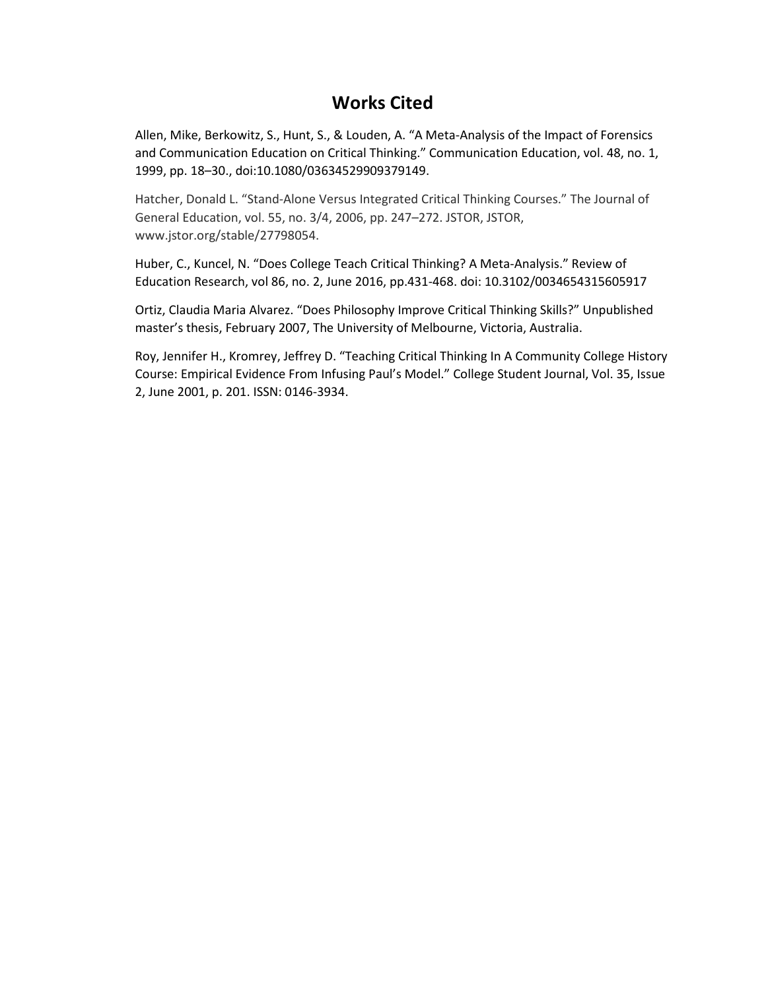# **Works Cited**

Allen, Mike, Berkowitz, S., Hunt, S., & Louden, A. "A Meta‐Analysis of the Impact of Forensics and Communication Education on Critical Thinking." Communication Education, vol. 48, no. 1, 1999, pp. 18–30., doi:10.1080/03634529909379149.

Hatcher, Donald L. "Stand-Alone Versus Integrated Critical Thinking Courses." The Journal of General Education, vol. 55, no. 3/4, 2006, pp. 247–272. JSTOR, JSTOR, www.jstor.org/stable/27798054.

Huber, C., Kuncel, N. "Does College Teach Critical Thinking? A Meta-Analysis." Review of Education Research, vol 86, no. 2, June 2016, pp.431-468. doi: 10.3102/0034654315605917

Ortiz, Claudia Maria Alvarez. "Does Philosophy Improve Critical Thinking Skills?" Unpublished master's thesis, February 2007, The University of Melbourne, Victoria, Australia.

Roy, Jennifer H., Kromrey, Jeffrey D. "Teaching Critical Thinking In A Community College History Course: Empirical Evidence From Infusing Paul's Model." College Student Journal, Vol. 35, Issue 2, June 2001, p. 201. ISSN: 0146-3934.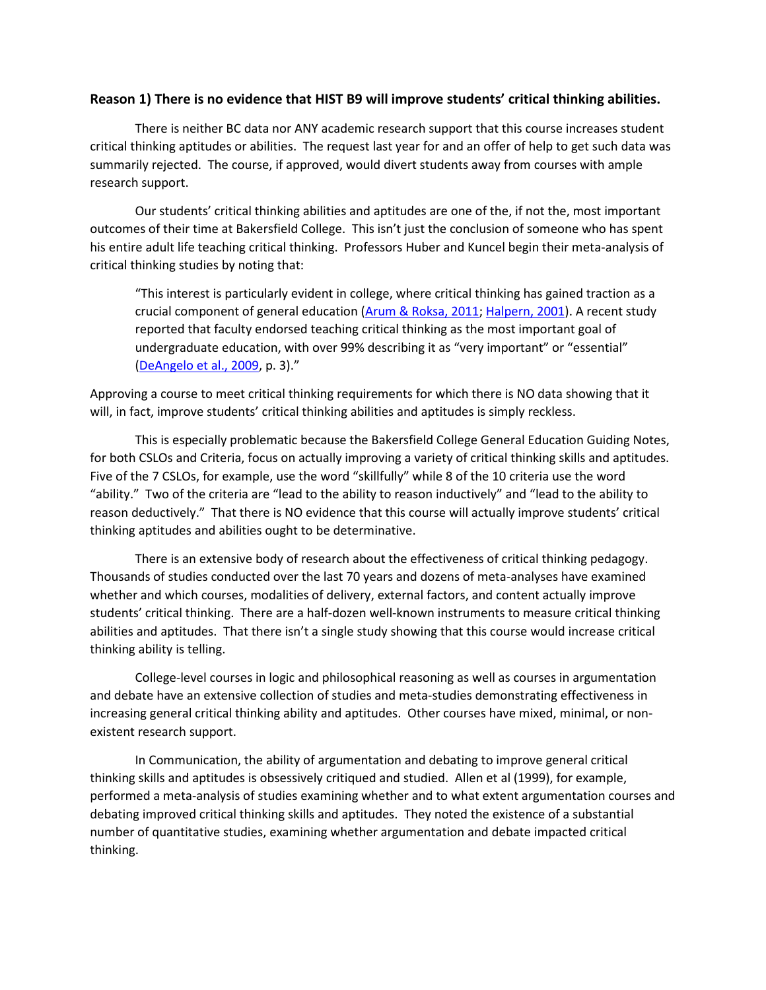## **Reason 1) There is no evidence that HIST B9 will improve students' critical thinking abilities.**

There is neither BC data nor ANY academic research support that this course increases student critical thinking aptitudes or abilities. The request last year for and an offer of help to get such data was summarily rejected. The course, if approved, would divert students away from courses with ample research support.

Our students' critical thinking abilities and aptitudes are one of the, if not the, most important outcomes of their time at Bakersfield College. This isn't just the conclusion of someone who has spent his entire adult life teaching critical thinking. Professors Huber and Kuncel begin their meta-analysis of critical thinking studies by noting that:

"This interest is particularly evident in college, where critical thinking has gained traction as a crucial component of general education [\(Arum & Roksa, 2011; Halpern, 2001\)](https://journals.sagepub.com/doi/full/10.3102/0034654315605917). A recent study reported that faculty endorsed teaching critical thinking as the most important goal of undergraduate education, with over 99% describing it as "very important" or "essential" [\(DeAngelo et al., 2009,](https://journals.sagepub.com/doi/full/10.3102/0034654315605917) p. 3)."

Approving a course to meet critical thinking requirements for which there is NO data showing that it will, in fact, improve students' critical thinking abilities and aptitudes is simply reckless.

This is especially problematic because the Bakersfield College General Education Guiding Notes, for both CSLOs and Criteria, focus on actually improving a variety of critical thinking skills and aptitudes. Five of the 7 CSLOs, for example, use the word "skillfully" while 8 of the 10 criteria use the word "ability." Two of the criteria are "lead to the ability to reason inductively" and "lead to the ability to reason deductively." That there is NO evidence that this course will actually improve students' critical thinking aptitudes and abilities ought to be determinative.

There is an extensive body of research about the effectiveness of critical thinking pedagogy. Thousands of studies conducted over the last 70 years and dozens of meta-analyses have examined whether and which courses, modalities of delivery, external factors, and content actually improve students' critical thinking. There are a half-dozen well-known instruments to measure critical thinking abilities and aptitudes. That there isn't a single study showing that this course would increase critical thinking ability is telling.

College-level courses in logic and philosophical reasoning as well as courses in argumentation and debate have an extensive collection of studies and meta-studies demonstrating effectiveness in increasing general critical thinking ability and aptitudes. Other courses have mixed, minimal, or nonexistent research support.

In Communication, the ability of argumentation and debating to improve general critical thinking skills and aptitudes is obsessively critiqued and studied. Allen et al (1999), for example, performed a meta-analysis of studies examining whether and to what extent argumentation courses and debating improved critical thinking skills and aptitudes. They noted the existence of a substantial number of quantitative studies, examining whether argumentation and debate impacted critical thinking.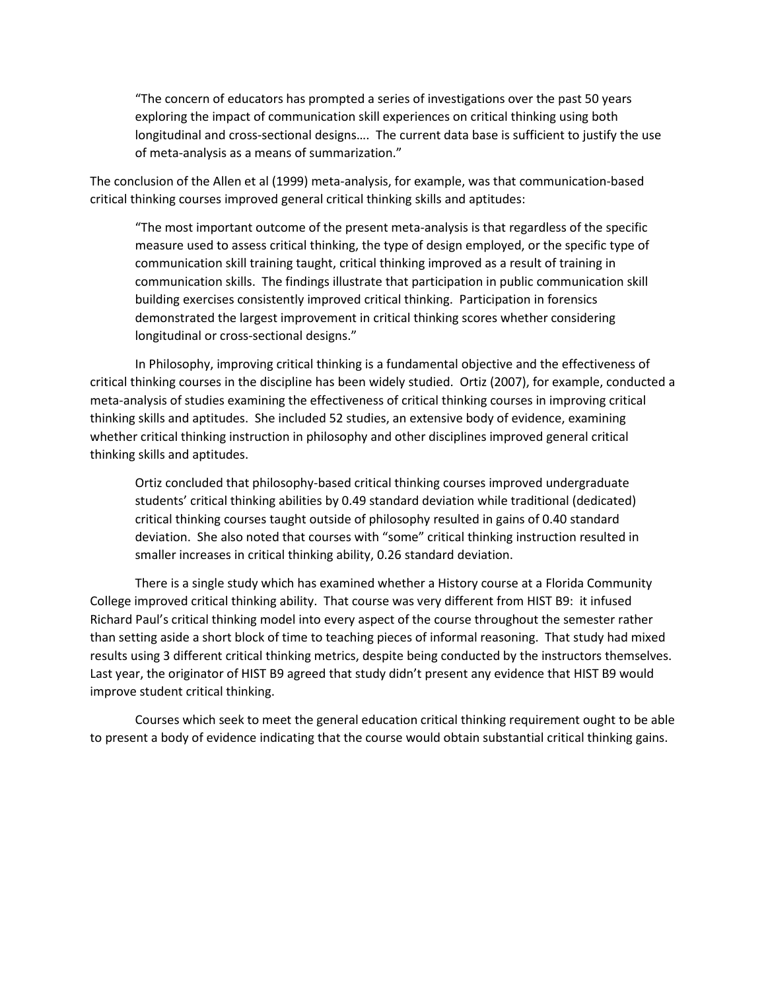"The concern of educators has prompted a series of investigations over the past 50 years exploring the impact of communication skill experiences on critical thinking using both longitudinal and cross-sectional designs…. The current data base is sufficient to justify the use of meta-analysis as a means of summarization."

The conclusion of the Allen et al (1999) meta-analysis, for example, was that communication-based critical thinking courses improved general critical thinking skills and aptitudes:

"The most important outcome of the present meta-analysis is that regardless of the specific measure used to assess critical thinking, the type of design employed, or the specific type of communication skill training taught, critical thinking improved as a result of training in communication skills. The findings illustrate that participation in public communication skill building exercises consistently improved critical thinking. Participation in forensics demonstrated the largest improvement in critical thinking scores whether considering longitudinal or cross-sectional designs."

In Philosophy, improving critical thinking is a fundamental objective and the effectiveness of critical thinking courses in the discipline has been widely studied. Ortiz (2007), for example, conducted a meta-analysis of studies examining the effectiveness of critical thinking courses in improving critical thinking skills and aptitudes. She included 52 studies, an extensive body of evidence, examining whether critical thinking instruction in philosophy and other disciplines improved general critical thinking skills and aptitudes.

Ortiz concluded that philosophy-based critical thinking courses improved undergraduate students' critical thinking abilities by 0.49 standard deviation while traditional (dedicated) critical thinking courses taught outside of philosophy resulted in gains of 0.40 standard deviation. She also noted that courses with "some" critical thinking instruction resulted in smaller increases in critical thinking ability, 0.26 standard deviation.

There is a single study which has examined whether a History course at a Florida Community College improved critical thinking ability. That course was very different from HIST B9: it infused Richard Paul's critical thinking model into every aspect of the course throughout the semester rather than setting aside a short block of time to teaching pieces of informal reasoning. That study had mixed results using 3 different critical thinking metrics, despite being conducted by the instructors themselves. Last year, the originator of HIST B9 agreed that study didn't present any evidence that HIST B9 would improve student critical thinking.

Courses which seek to meet the general education critical thinking requirement ought to be able to present a body of evidence indicating that the course would obtain substantial critical thinking gains.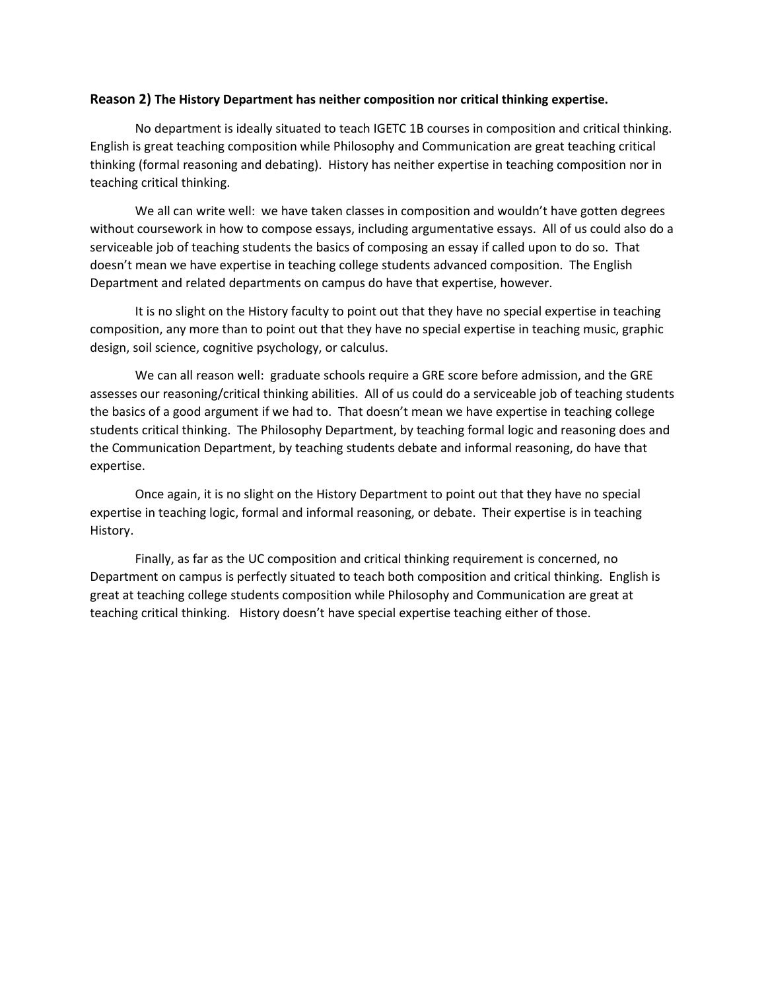## **Reason 2) The History Department has neither composition nor critical thinking expertise.**

No department is ideally situated to teach IGETC 1B courses in composition and critical thinking. English is great teaching composition while Philosophy and Communication are great teaching critical thinking (formal reasoning and debating). History has neither expertise in teaching composition nor in teaching critical thinking.

We all can write well: we have taken classes in composition and wouldn't have gotten degrees without coursework in how to compose essays, including argumentative essays. All of us could also do a serviceable job of teaching students the basics of composing an essay if called upon to do so. That doesn't mean we have expertise in teaching college students advanced composition. The English Department and related departments on campus do have that expertise, however.

It is no slight on the History faculty to point out that they have no special expertise in teaching composition, any more than to point out that they have no special expertise in teaching music, graphic design, soil science, cognitive psychology, or calculus.

We can all reason well: graduate schools require a GRE score before admission, and the GRE assesses our reasoning/critical thinking abilities. All of us could do a serviceable job of teaching students the basics of a good argument if we had to. That doesn't mean we have expertise in teaching college students critical thinking. The Philosophy Department, by teaching formal logic and reasoning does and the Communication Department, by teaching students debate and informal reasoning, do have that expertise.

Once again, it is no slight on the History Department to point out that they have no special expertise in teaching logic, formal and informal reasoning, or debate. Their expertise is in teaching History.

Finally, as far as the UC composition and critical thinking requirement is concerned, no Department on campus is perfectly situated to teach both composition and critical thinking. English is great at teaching college students composition while Philosophy and Communication are great at teaching critical thinking. History doesn't have special expertise teaching either of those.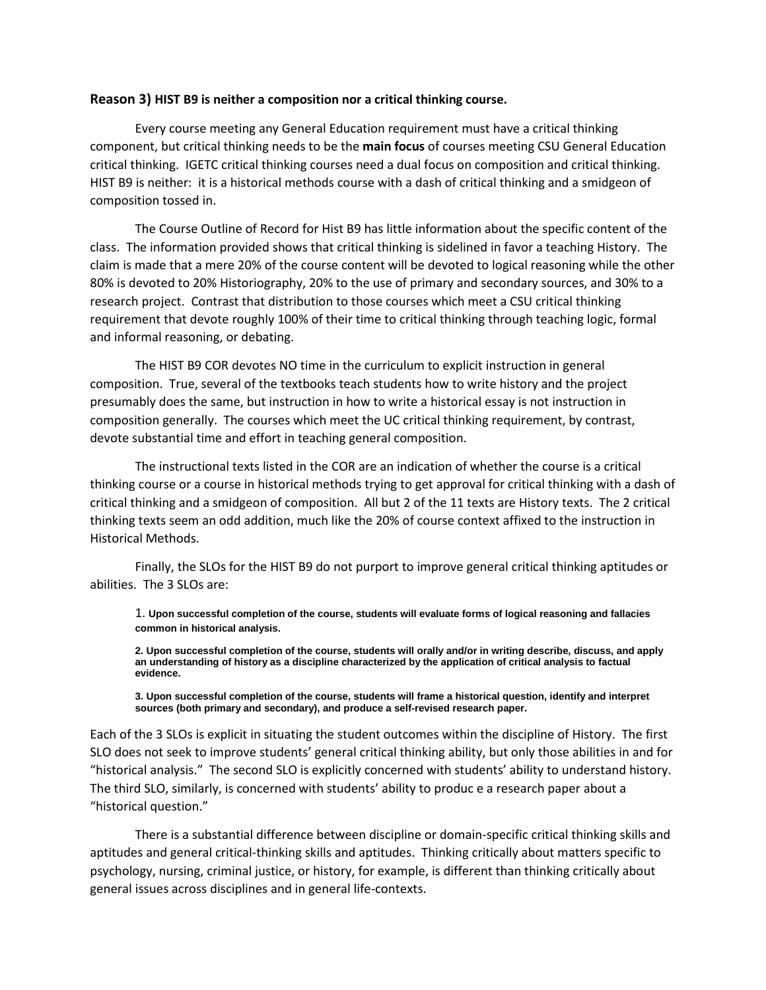#### **Reason 3) HIST B9 is neither a composition nor a critical thinking course.**

Every course meeting any General Education requirement must have a critical thinking component, but critical thinking needs to be the **main focus** of courses meeting CSU General Education critical thinking. IGETC critical thinking courses need a dual focus on composition and critical thinking. HIST B9 is neither: it is a historical methods course with a dash of critical thinking and a smidgeon of composition tossed in.

The Course Outline of Record for Hist B9 has little information about the specific content of the class. The information provided shows that critical thinking is sidelined in favor a teaching History. The claim is made that a mere 20% of the course content will be devoted to logical reasoning while the other 80% is devoted to 20% Historiography, 20% to the use of primary and secondary sources, and 30% to a research project. Contrast that distribution to those courses which meet a CSU critical thinking requirement that devote roughly 100% of their time to critical thinking through teaching logic, formal and informal reasoning, or debating.

The HIST B9 COR devotes NO time in the curriculum to explicit instruction in general composition. True, several of the textbooks teach students how to write history and the project presumably does the same, but instruction in how to write a historical essay is not instruction in composition generally. The courses which meet the UC critical thinking requirement, by contrast, devote substantial time and effort in teaching general composition.

The instructional texts listed in the COR are an indication of whether the course is a critical thinking course or a course in historical methods trying to get approval for critical thinking with a dash of critical thinking and a smidgeon of composition. All but 2 of the 11 texts are History texts. The 2 critical thinking texts seem an odd addition, much like the 20% of course context affixed to the instruction in Historical Methods.

Finally, the SLOs for the HIST B9 do not purport to improve general critical thinking aptitudes or abilities. The 3 SLOs are:

1. **Upon successful completion of the course, students will evaluate forms of logical reasoning and fallacies common in historical analysis.**

**2. Upon successful completion of the course, students will orally and/or in writing describe, discuss, and apply an understanding of history as a discipline characterized by the application of critical analysis to factual evidence.**

**3. Upon successful completion of the course, students will frame a historical question, identify and interpret sources (both primary and secondary), and produce a self-revised research paper.**

Each of the 3 SLOs is explicit in situating the student outcomes within the discipline of History. The first SLO does not seek to improve students' general critical thinking ability, but only those abilities in and for "historical analysis." The second SLO is explicitly concerned with students' ability to understand history. The third SLO, similarly, is concerned with students' ability to produc e a research paper about a "historical question."

There is a substantial difference between discipline or domain-specific critical thinking skills and aptitudes and general critical-thinking skills and aptitudes. Thinking critically about matters specific to psychology, nursing, criminal justice, or history, for example, is different than thinking critically about general issues across disciplines and in general life-contexts.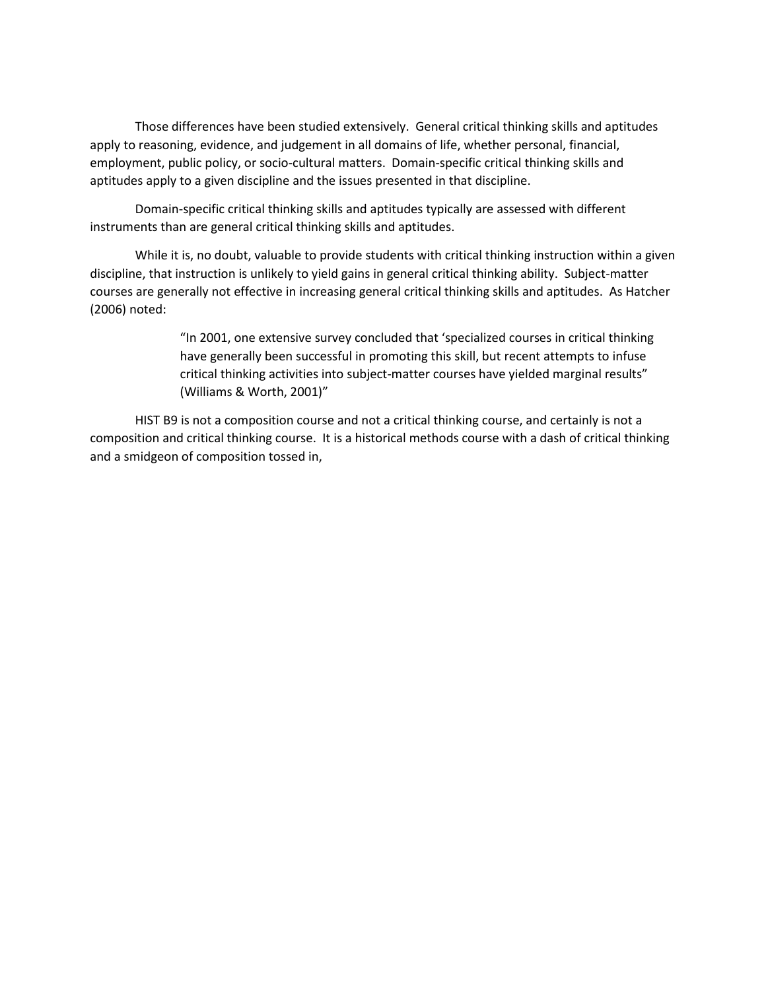Those differences have been studied extensively. General critical thinking skills and aptitudes apply to reasoning, evidence, and judgement in all domains of life, whether personal, financial, employment, public policy, or socio-cultural matters. Domain-specific critical thinking skills and aptitudes apply to a given discipline and the issues presented in that discipline.

Domain-specific critical thinking skills and aptitudes typically are assessed with different instruments than are general critical thinking skills and aptitudes.

While it is, no doubt, valuable to provide students with critical thinking instruction within a given discipline, that instruction is unlikely to yield gains in general critical thinking ability. Subject-matter courses are generally not effective in increasing general critical thinking skills and aptitudes. As Hatcher (2006) noted:

> "In 2001, one extensive survey concluded that 'specialized courses in critical thinking have generally been successful in promoting this skill, but recent attempts to infuse critical thinking activities into subject-matter courses have yielded marginal results" (Williams & Worth, 2001)"

HIST B9 is not a composition course and not a critical thinking course, and certainly is not a composition and critical thinking course. It is a historical methods course with a dash of critical thinking and a smidgeon of composition tossed in,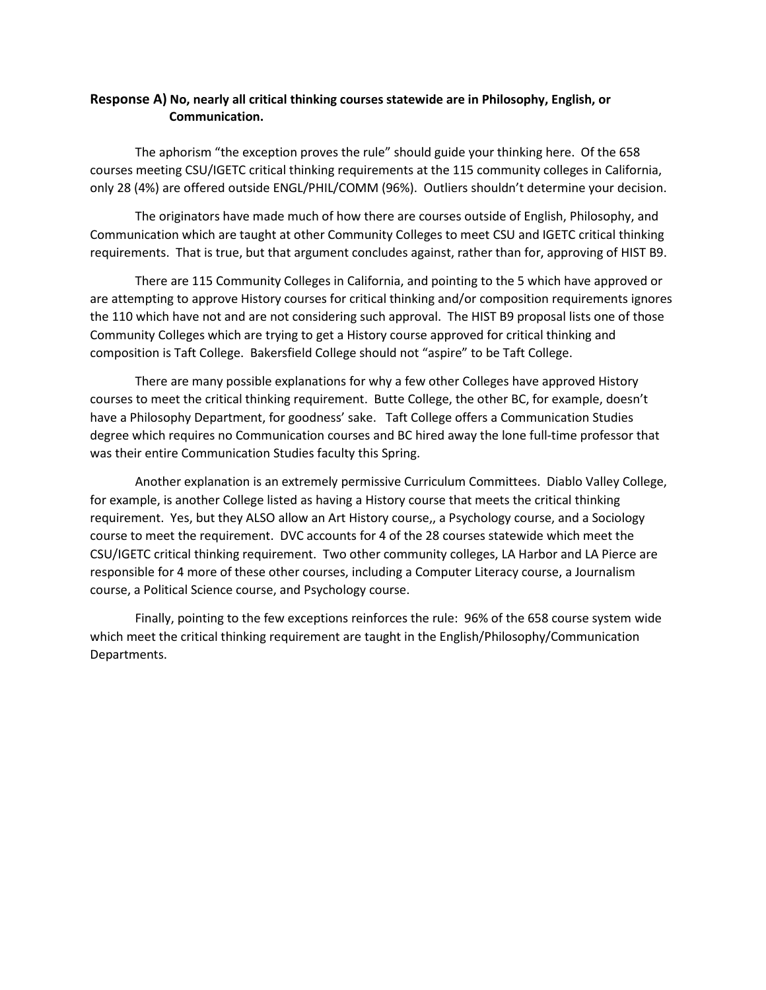## **Response A) No, nearly all critical thinking courses statewide are in Philosophy, English, or Communication.**

The aphorism "the exception proves the rule" should guide your thinking here. Of the 658 courses meeting CSU/IGETC critical thinking requirements at the 115 community colleges in California, only 28 (4%) are offered outside ENGL/PHIL/COMM (96%). Outliers shouldn't determine your decision.

The originators have made much of how there are courses outside of English, Philosophy, and Communication which are taught at other Community Colleges to meet CSU and IGETC critical thinking requirements. That is true, but that argument concludes against, rather than for, approving of HIST B9.

There are 115 Community Colleges in California, and pointing to the 5 which have approved or are attempting to approve History courses for critical thinking and/or composition requirements ignores the 110 which have not and are not considering such approval. The HIST B9 proposal lists one of those Community Colleges which are trying to get a History course approved for critical thinking and composition is Taft College. Bakersfield College should not "aspire" to be Taft College.

There are many possible explanations for why a few other Colleges have approved History courses to meet the critical thinking requirement. Butte College, the other BC, for example, doesn't have a Philosophy Department, for goodness' sake. Taft College offers a Communication Studies degree which requires no Communication courses and BC hired away the lone full-time professor that was their entire Communication Studies faculty this Spring.

Another explanation is an extremely permissive Curriculum Committees. Diablo Valley College, for example, is another College listed as having a History course that meets the critical thinking requirement. Yes, but they ALSO allow an Art History course,, a Psychology course, and a Sociology course to meet the requirement. DVC accounts for 4 of the 28 courses statewide which meet the CSU/IGETC critical thinking requirement. Two other community colleges, LA Harbor and LA Pierce are responsible for 4 more of these other courses, including a Computer Literacy course, a Journalism course, a Political Science course, and Psychology course.

Finally, pointing to the few exceptions reinforces the rule: 96% of the 658 course system wide which meet the critical thinking requirement are taught in the English/Philosophy/Communication Departments.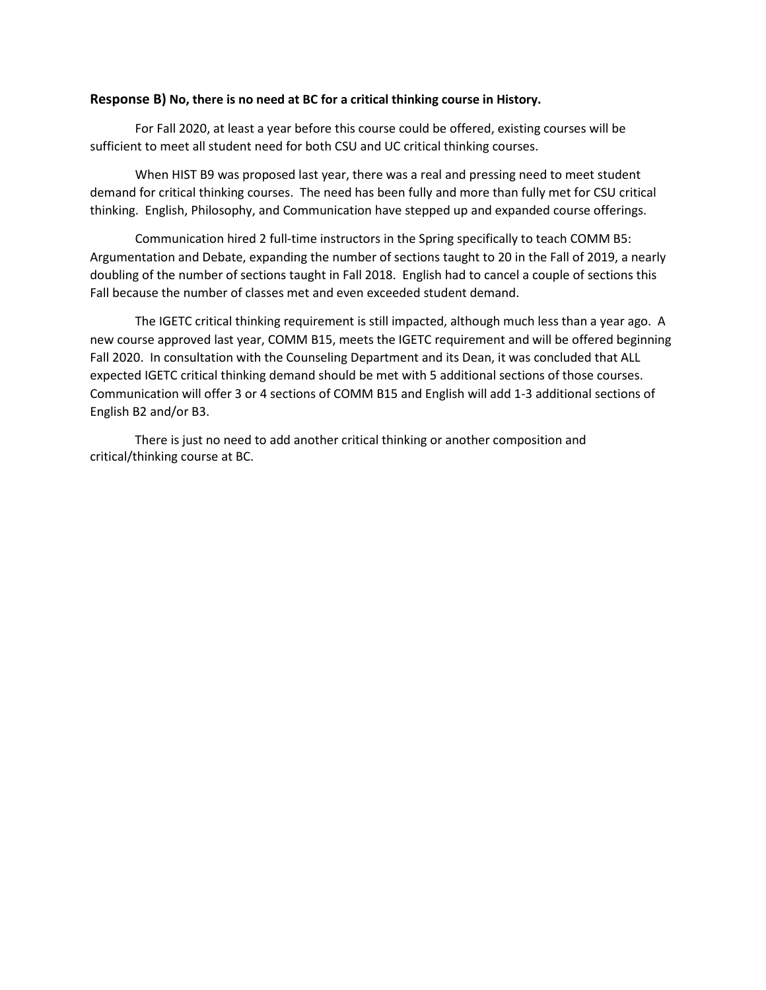## **Response B) No, there is no need at BC for a critical thinking course in History.**

For Fall 2020, at least a year before this course could be offered, existing courses will be sufficient to meet all student need for both CSU and UC critical thinking courses.

When HIST B9 was proposed last year, there was a real and pressing need to meet student demand for critical thinking courses. The need has been fully and more than fully met for CSU critical thinking. English, Philosophy, and Communication have stepped up and expanded course offerings.

Communication hired 2 full-time instructors in the Spring specifically to teach COMM B5: Argumentation and Debate, expanding the number of sections taught to 20 in the Fall of 2019, a nearly doubling of the number of sections taught in Fall 2018. English had to cancel a couple of sections this Fall because the number of classes met and even exceeded student demand.

The IGETC critical thinking requirement is still impacted, although much less than a year ago. A new course approved last year, COMM B15, meets the IGETC requirement and will be offered beginning Fall 2020. In consultation with the Counseling Department and its Dean, it was concluded that ALL expected IGETC critical thinking demand should be met with 5 additional sections of those courses. Communication will offer 3 or 4 sections of COMM B15 and English will add 1-3 additional sections of English B2 and/or B3.

There is just no need to add another critical thinking or another composition and critical/thinking course at BC.